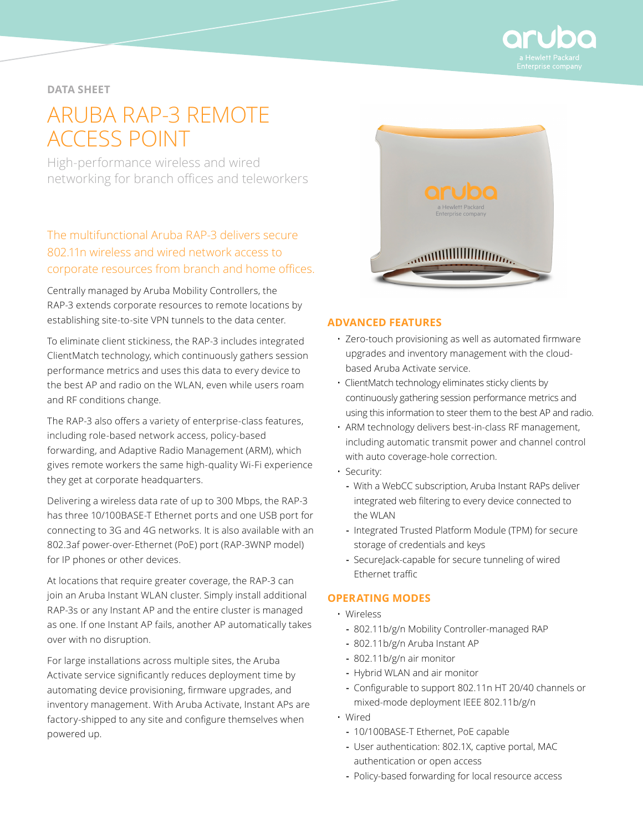

## **DATA SHEET**

# ARUBA RAP-3 REMOTE ACCESS POINT

High-performance wireless and wired networking for branch offices and teleworkers

## The multifunctional Aruba RAP-3 delivers secure 802.11n wireless and wired network access to corporate resources from branch and home offices.

Centrally managed by Aruba Mobility Controllers, the RAP-3 extends corporate resources to remote locations by establishing site-to-site VPN tunnels to the data center.

To eliminate client stickiness, the RAP-3 includes integrated ClientMatch technology, which continuously gathers session performance metrics and uses this data to every device to the best AP and radio on the WLAN, even while users roam and RF conditions change.

The RAP-3 also offers a variety of enterprise-class features, including role-based network access, policy-based forwarding, and Adaptive Radio Management (ARM), which gives remote workers the same high-quality Wi-Fi experience they get at corporate headquarters.

Delivering a wireless data rate of up to 300 Mbps, the RAP-3 has three 10/100BASE-T Ethernet ports and one USB port for connecting to 3G and 4G networks. It is also available with an 802.3af power-over-Ethernet (PoE) port (RAP-3WNP model) for IP phones or other devices.

At locations that require greater coverage, the RAP-3 can join an Aruba Instant WLAN cluster. Simply install additional RAP-3s or any Instant AP and the entire cluster is managed as one. If one Instant AP fails, another AP automatically takes over with no disruption.

For large installations across multiple sites, the Aruba Activate service significantly reduces deployment time by automating device provisioning, firmware upgrades, and inventory management. With Aruba Activate, Instant APs are factory-shipped to any site and configure themselves when powered up.



#### **ADVANCED FEATURES**

- Zero-touch provisioning as well as automated firmware upgrades and inventory management with the cloudbased Aruba Activate service.
- ClientMatch technology eliminates sticky clients by continuously gathering session performance metrics and using this information to steer them to the best AP and radio.
- ARM technology delivers best-in-class RF management, including automatic transmit power and channel control with auto coverage-hole correction.
- Security:
	- **-** With a WebCC subscription, Aruba Instant RAPs deliver integrated web filtering to every device connected to the WLAN
	- **-** Integrated Trusted Platform Module (TPM) for secure storage of credentials and keys
	- **-** SecureJack-capable for secure tunneling of wired Ethernet traffic

#### **OPERATING MODES**

- Wireless
	- **-** 802.11b/g/n Mobility Controller-managed RAP
	- **-** 802.11b/g/n Aruba Instant AP
	- **-** 802.11b/g/n air monitor
	- **-** Hybrid WLAN and air monitor
	- **-** Configurable to support 802.11n HT 20/40 channels or mixed-mode deployment IEEE 802.11b/g/n
- Wired
	- **-** 10/100BASE-T Ethernet, PoE capable
	- **-** User authentication: 802.1X, captive portal, MAC authentication or open access
	- **-** Policy-based forwarding for local resource access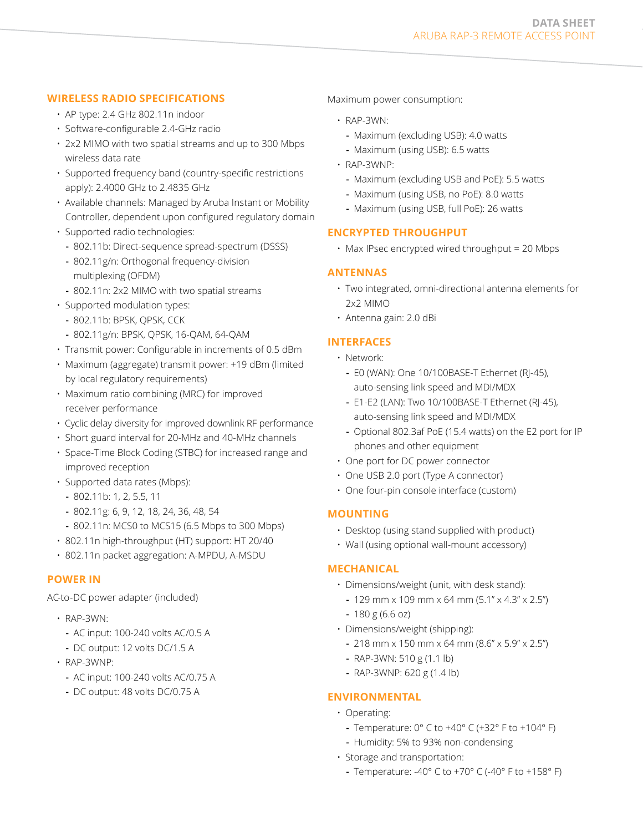## **WIRELESS RADIO SPECIFICATIONS**

- AP type: 2.4 GHz 802.11n indoor
- Software-configurable 2.4-GHz radio
- 2x2 MIMO with two spatial streams and up to 300 Mbps wireless data rate
- Supported frequency band (country-specific restrictions apply): 2.4000 GHz to 2.4835 GHz
- Available channels: Managed by Aruba Instant or Mobility Controller, dependent upon configured regulatory domain
- Supported radio technologies:
	- **-** 802.11b: Direct-sequence spread-spectrum (DSSS)
	- **-** 802.11g/n: Orthogonal frequency-division multiplexing (OFDM)
	- **-** 802.11n: 2x2 MIMO with two spatial streams
- Supported modulation types:
	- **-** 802.11b: BPSK, QPSK, CCK
	- **-** 802.11g/n: BPSK, QPSK, 16-QAM, 64-QAM
- Transmit power: Configurable in increments of 0.5 dBm
- Maximum (aggregate) transmit power: +19 dBm (limited by local regulatory requirements)
- Maximum ratio combining (MRC) for improved receiver performance
- Cyclic delay diversity for improved downlink RF performance
- Short guard interval for 20-MHz and 40-MHz channels
- Space-Time Block Coding (STBC) for increased range and improved reception
- Supported data rates (Mbps):
	- **-** 802.11b: 1, 2, 5.5, 11
	- **-** 802.11g: 6, 9, 12, 18, 24, 36, 48, 54
	- **-** 802.11n: MCS0 to MCS15 (6.5 Mbps to 300 Mbps)
- 802.11n high-throughput (HT) support: HT 20/40
- 802.11n packet aggregation: A-MPDU, A-MSDU

## **POWER IN**

AC-to-DC power adapter (included)

- RAP-3WN:
	- **-** AC input: 100-240 volts AC/0.5 A
	- **-** DC output: 12 volts DC/1.5 A
- RAP-3WNP:
	- **-** AC input: 100-240 volts AC/0.75 A
	- **-** DC output: 48 volts DC/0.75 A

Maximum power consumption:

- RAP-3WN:
	- **-** Maximum (excluding USB): 4.0 watts
	- **-** Maximum (using USB): 6.5 watts
- RAP-3WNP:
	- **-** Maximum (excluding USB and PoE): 5.5 watts
	- **-** Maximum (using USB, no PoE): 8.0 watts
- **-** Maximum (using USB, full PoE): 26 watts

## **ENCRYPTED THROUGHPUT**

• Max IPsec encrypted wired throughput = 20 Mbps

## **ANTENNAS**

- Two integrated, omni-directional antenna elements for 2x2 MIMO
- Antenna gain: 2.0 dBi

## **INTERFACES**

- Network:
	- **-** E0 (WAN): One 10/100BASE-T Ethernet (RJ-45), auto-sensing link speed and MDI/MDX
	- **-** E1-E2 (LAN): Two 10/100BASE-T Ethernet (RJ-45), auto-sensing link speed and MDI/MDX
	- **-** Optional 802.3af PoE (15.4 watts) on the E2 port for IP phones and other equipment
- One port for DC power connector
- One USB 2.0 port (Type A connector)
- One four-pin console interface (custom)

## **MOUNTING**

- Desktop (using stand supplied with product)
- Wall (using optional wall-mount accessory)

#### **MECHANICAL**

- Dimensions/weight (unit, with desk stand):
- **-** 129 mm x 109 mm x 64 mm (5.1" x 4.3" x 2.5")
- **-** 180 g (6.6 oz)
- Dimensions/weight (shipping):
	- **-** 218 mm x 150 mm x 64 mm (8.6" x 5.9" x 2.5")
	- **-** RAP-3WN: 510 g (1.1 lb)
	- **-** RAP-3WNP: 620 g (1.4 lb)

## **ENVIRONMENTAL**

- Operating:
	- **-** Temperature: 0° C to +40° C (+32° F to +104° F)
	- **-** Humidity: 5% to 93% non-condensing
- Storage and transportation:
	- **-** Temperature: -40° C to +70° C (-40° F to +158° F)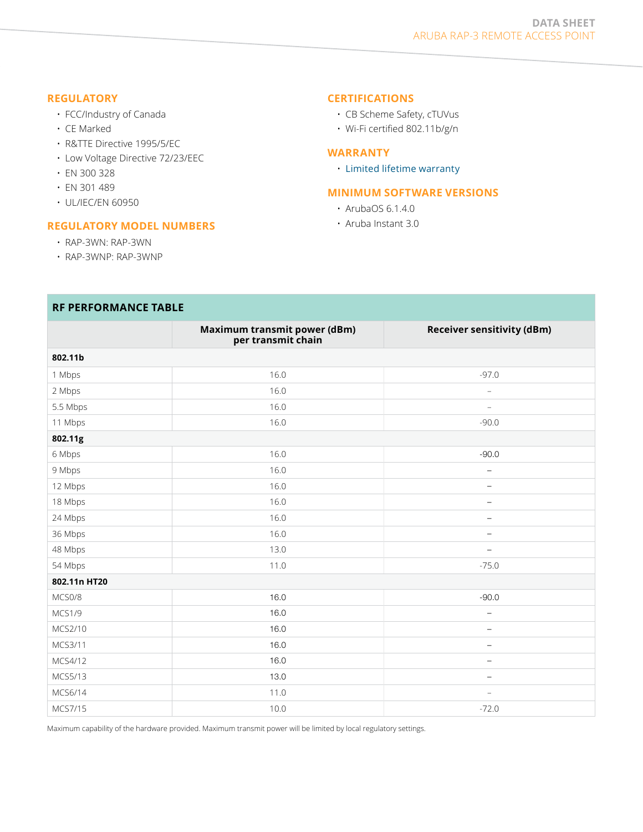#### **REGULATORY**

- FCC/Industry of Canada
- CE Marked
- R&TTE Directive 1995/5/EC
- Low Voltage Directive 72/23/EEC
- EN 300 328
- EN 301 489
- UL/IEC/EN 60950

#### **REGULATORY MODEL NUMBERS**

- RAP-3WN: RAP-3WN
- RAP-3WNP: RAP-3WNP

**RF PERFORMANCE TABLE**

#### **CERTIFICATIONS**

- CB Scheme Safety, cTUVus
- Wi-Fi certified 802.11b/g/n

#### **WARRANTY**

• [Limited lifetime warranty](http://http://www.arubanetworks.com/support/lifetime_warranty.php)

#### **MINIMUM SOFTWARE VERSIONS**

- ArubaOS 6.1.4.0
- Aruba Instant 3.0

| <b>KE PERFURMANCE IADLE</b> |                                                    |                                   |
|-----------------------------|----------------------------------------------------|-----------------------------------|
|                             | Maximum transmit power (dBm)<br>per transmit chain | <b>Receiver sensitivity (dBm)</b> |
| 802.11b                     |                                                    |                                   |
| 1 Mbps                      | 16.0                                               | $-97.0$                           |
| 2 Mbps                      | 16.0                                               | $\overline{\phantom{a}}$          |
| 5.5 Mbps                    | 16.0                                               | $\overline{\phantom{a}}$          |
| 11 Mbps                     | 16.0                                               | $-90.0$                           |
| 802.11g                     |                                                    |                                   |
| 6 Mbps                      | 16.0                                               | $-90.0$                           |
| 9 Mbps                      | 16.0                                               | $\qquad \qquad -$                 |
| 12 Mbps                     | 16.0                                               | $\overline{\phantom{a}}$          |
| 18 Mbps                     | 16.0                                               | $\qquad \qquad -$                 |
| 24 Mbps                     | 16.0                                               | $\overline{\phantom{m}}$          |
| 36 Mbps                     | 16.0                                               | $\overline{\phantom{a}}$          |
| 48 Mbps                     | 13.0                                               | $\overline{\phantom{a}}$          |
| 54 Mbps                     | 11.0                                               | $-75.0$                           |
| 802.11n HT20                |                                                    |                                   |
| MCS0/8                      | 16.0                                               | $-90.0$                           |
| <b>MCS1/9</b>               | 16.0                                               | $\equiv$                          |
| MCS2/10                     | 16.0                                               | $\qquad \qquad -$                 |
| MCS3/11                     | 16.0                                               | $\qquad \qquad -$                 |
| MCS4/12                     | 16.0                                               | $\overline{\phantom{0}}$          |
| MCS5/13                     | 13.0                                               | $\qquad \qquad -$                 |
| MCS6/14                     | 11.0                                               | $\qquad \qquad -$                 |
| MCS7/15                     | 10.0                                               | $-72.0$                           |

Maximum capability of the hardware provided. Maximum transmit power will be limited by local regulatory settings.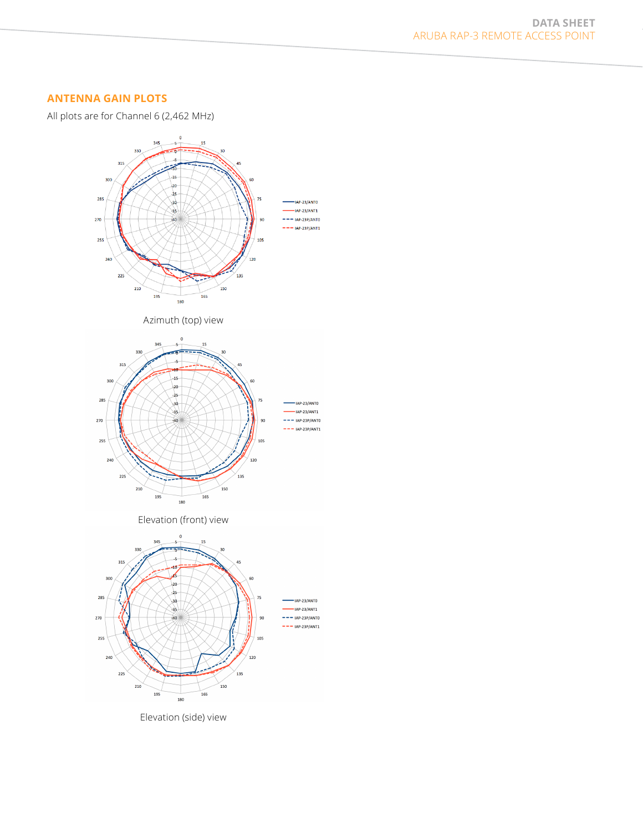## **ANTENNA GAIN PLOTS**

All plots are for Channel 6 (2,462 MHz)



Elevation (side) view